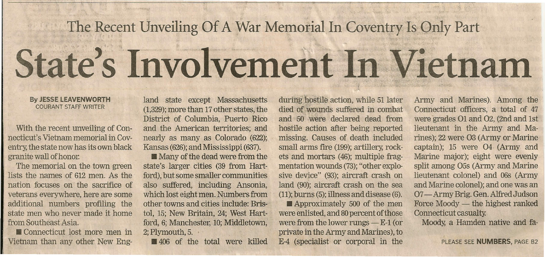## **The Recent Unveiling Of A War Memorial In Coventry Is Only Part State's Involvement In** Vietnam

## **By JESSE LEAVENWORTH** COURANT STAFF WRITER

With the recent unveiling of Connecticut's Vietnam memorial in Coventry, the state now has its own black granite wall of honor.

The memorial on the town green lists the names of 612 men. As the nation focuses on the sacrifice of veterans everywhere, here are some additional numbers profiling the state men who never made it home from Southeast Asia.

• Connecticut lost more men in Vietnam than any other New England state except Massachusetts (1,329);more than 17other states, the District of Columbia, Puerto Rico and the American territories; and nearly as many as Colorado (622); Kansas (626); and Mississippi (637).

**• Many of the dead were from the** state's larger cities (39 from Hartford), but some smaller communities also suffered, including Ansonia, which lost eight men. Numbers from other towns and cities include: Bristol, 15; New Britain, 24; West Hartford, 6; Manchester, 10; Middletown, 2;Plymouth, 5. .

**406** of the total were killed

during hostile action, while 51 later died of wounds suffered in combat and 50 were declared dead from hostile action after being reported missing. Causes of death included small arms fire (199); artillery, rockets and mortars (46); multiple fragmentation wounds (73);"other explosive device" (93); aircraft crash on land (90); aircraft crash on the sea  $(11)$ ; burns  $(5)$ ; illness and disease  $(6)$ .

**Approximately 500 of the men** were enlisted, and 80 percent of those were from the lower rungs  $- E-1$  (or private in the Army and Marines), to E-4 (specialist or corporal in the Army and Marines). Among the Connecticut officers, a total of 47 were grades O1 and O2, (2nd and 1st) lieutenant in the Army and Marines); 22 were 03 (Army or Marine captain); 15 were 04 (Army and Marine major); eight were evenly split among 05s (Army and Marine lieutenant colonel) and 06s (Army and Marine colonel); and one was an 07 - Army Brig. Gen. Alfred Judson Force Moody - the highest ranked Connecticut casualty.

Moody, a Hamden native and fa-

PLEASE SEE **NUMBERS,** PAGE 82